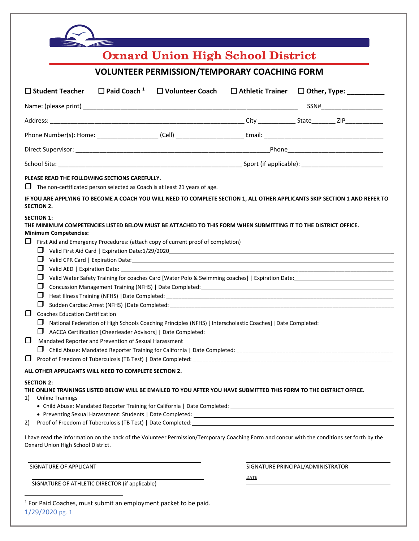| <b>Oxnard Union High School District</b><br><b>VOLUNTEER PERMISSION/TEMPORARY COACHING FORM</b>                                                                                                                                                                                                                                                                                                                               |  |      |                                                                                                                                         |
|-------------------------------------------------------------------------------------------------------------------------------------------------------------------------------------------------------------------------------------------------------------------------------------------------------------------------------------------------------------------------------------------------------------------------------|--|------|-----------------------------------------------------------------------------------------------------------------------------------------|
|                                                                                                                                                                                                                                                                                                                                                                                                                               |  |      |                                                                                                                                         |
|                                                                                                                                                                                                                                                                                                                                                                                                                               |  |      | SSN#                                                                                                                                    |
|                                                                                                                                                                                                                                                                                                                                                                                                                               |  |      |                                                                                                                                         |
|                                                                                                                                                                                                                                                                                                                                                                                                                               |  |      |                                                                                                                                         |
|                                                                                                                                                                                                                                                                                                                                                                                                                               |  |      |                                                                                                                                         |
|                                                                                                                                                                                                                                                                                                                                                                                                                               |  |      |                                                                                                                                         |
| PLEASE READ THE FOLLOWING SECTIONS CAREFULLY.<br>$\Box$ The non-certificated person selected as Coach is at least 21 years of age.<br>IF YOU ARE APPLYING TO BECOME A COACH YOU WILL NEED TO COMPLETE SECTION 1, ALL OTHER APPLICANTS SKIP SECTION 1 AND REFER TO                                                                                                                                                             |  |      |                                                                                                                                         |
| First Aid and Emergency Procedures: (attach copy of current proof of completion)<br>⊔<br>$\Box$<br>$\Box$<br>⊔<br>$\Box$<br>⊔<br>$\blacksquare$<br><b>Coaches Education Certification</b><br>⊔<br>⊔<br>$\Box$<br>Mandated Reporter and Prevention of Sexual Harassment<br>⊔<br>⊔                                                                                                                                              |  |      | National Federation of High Schools Coaching Principles (NFHS) [ Interscholastic Coaches]   Date Completed: ___________________________ |
| ALL OTHER APPLICANTS WILL NEED TO COMPLETE SECTION 2.<br><b>SECTION 2:</b><br>THE ONLINE TRAININGS LISTED BELOW WILL BE EMAILED TO YOU AFTER YOU HAVE SUBMITTED THIS FORM TO THE DISTRICT OFFICE.<br><b>Online Trainings</b><br>1)<br>2)<br>I have read the information on the back of the Volunteer Permission/Temporary Coaching Form and concur with the conditions set forth by the<br>Oxnard Union High School District. |  |      |                                                                                                                                         |
| SIGNATURE OF APPLICANT                                                                                                                                                                                                                                                                                                                                                                                                        |  |      | SIGNATURE PRINCIPAL/ADMINISTRATOR                                                                                                       |
| SIGNATURE OF ATHLETIC DIRECTOR (if applicable)                                                                                                                                                                                                                                                                                                                                                                                |  | DATE |                                                                                                                                         |

1/29/2020 pg. 1 1 For Paid Coaches, must submit an employment packet to be paid.